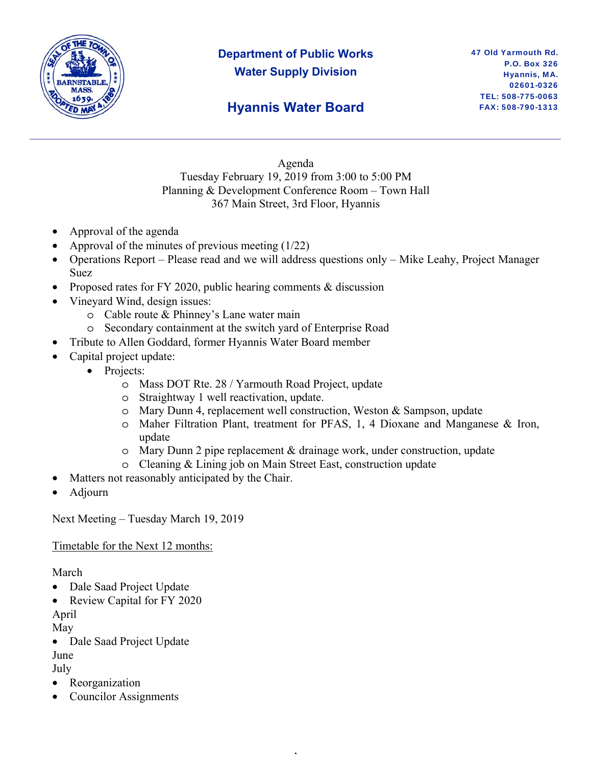

# **Department of Public Works Water Supply Division**

## **Hyannis Water Board**

Agenda Tuesday February 19, 2019 from 3:00 to 5:00 PM Planning & Development Conference Room – Town Hall 367 Main Street, 3rd Floor, Hyannis

- Approval of the agenda
- Approval of the minutes of previous meeting  $(1/22)$
- Operations Report Please read and we will address questions only Mike Leahy, Project Manager Suez
- Proposed rates for FY 2020, public hearing comments & discussion
- Vineyard Wind, design issues:
	- o Cable route & Phinney's Lane water main
	- o Secondary containment at the switch yard of Enterprise Road
- Tribute to Allen Goddard, former Hyannis Water Board member
- Capital project update:
	- Projects:
		- o Mass DOT Rte. 28 / Yarmouth Road Project, update
		- o Straightway 1 well reactivation, update.
		- o Mary Dunn 4, replacement well construction, Weston & Sampson, update
		- o Maher Filtration Plant, treatment for PFAS, 1, 4 Dioxane and Manganese & Iron, update
		- o Mary Dunn 2 pipe replacement & drainage work, under construction, update

,

- o Cleaning & Lining job on Main Street East, construction update
- Matters not reasonably anticipated by the Chair.
- Adjourn

Next Meeting – Tuesday March 19, 2019

Timetable for the Next 12 months:

March

- Dale Saad Project Update
- Review Capital for FY 2020

April

- May
- Dale Saad Project Update

June

- July
- Reorganization
- Councilor Assignments